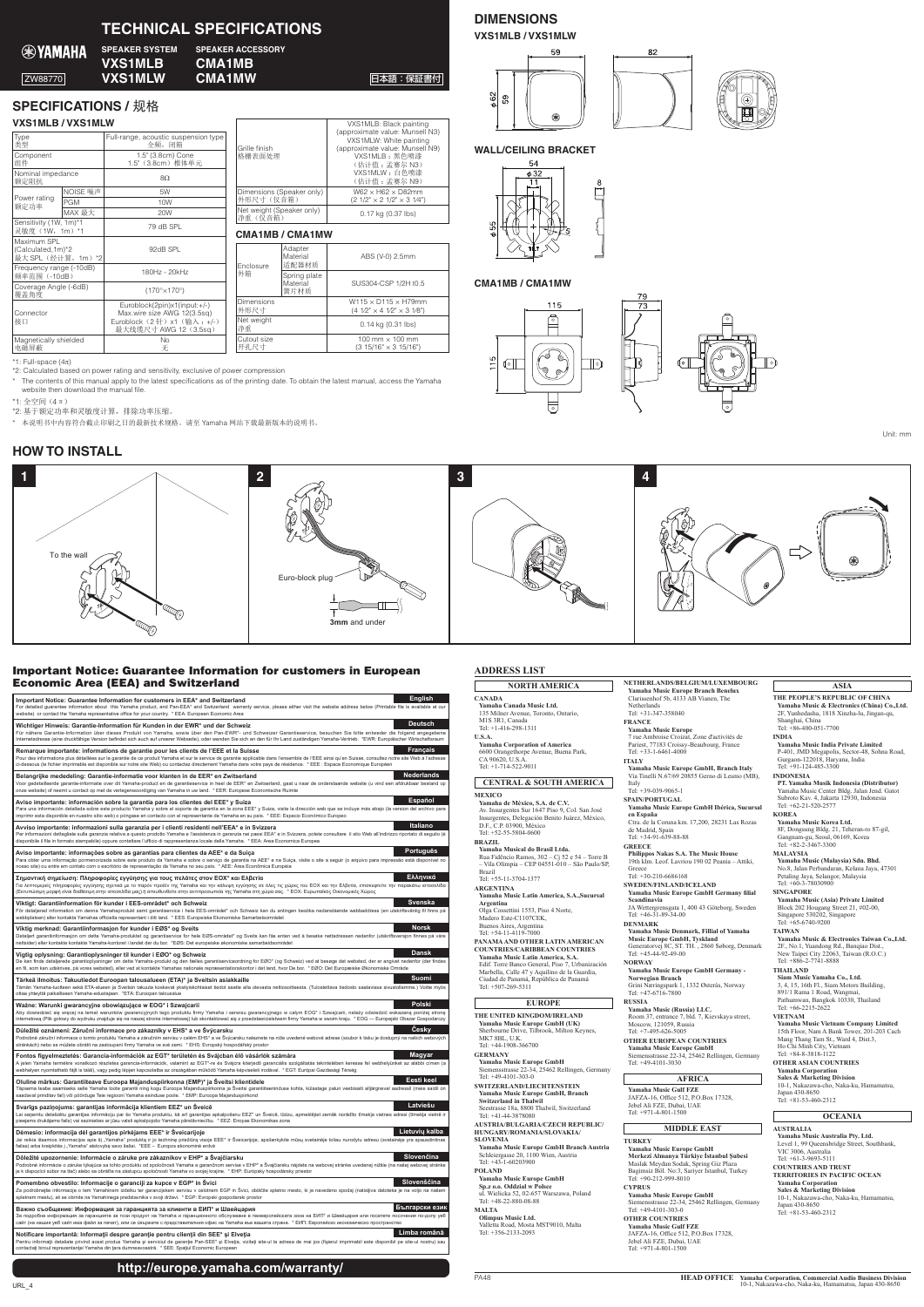**1 2 4 3** To the wall Euro-block plug **RADI**  $\Box$ **TANG CONFERENCE** 3mm and unde

# Important Notice: Guarantee Information for customers in European **Economic Area (EEA) and Switzerland**

**DIMENSIONS VXS1MLB/VXS1MLW** 

59



# **CMA1MB / CMA1MW**





Unit: mm

| VAƏIMLD / VAƏIMLVV                                       |            |                                                             |                                        |                              | VASTIVILB: BIACK DAINING                                                                      |  |
|----------------------------------------------------------|------------|-------------------------------------------------------------|----------------------------------------|------------------------------|-----------------------------------------------------------------------------------------------|--|
| Type<br>类型                                               |            | Full-range, acoustic suspension type<br>全频, 闭箱              | Grille finish<br>格栅表面处理                |                              | (approximate value: Munsell N3)<br>VXS1MLW: White painting<br>(approximate value: Munsell N9) |  |
| Component<br>组件                                          |            | 1.5" (3.8cm) Cone<br>1.5" (3.8cm) 椎体单元                      |                                        |                              | VXS1MLB:黑色喷漆<br>(估计值: 孟赛尔 N3)                                                                 |  |
| Nominal impedance<br>额定阻抗                                |            | $8\Omega$                                                   |                                        |                              | VXS1MLW: 白色喷漆<br>(估计值: 孟赛尔 N9)                                                                |  |
|                                                          | NOISE 噪声   | 5W                                                          | Dimensions (Speaker only)<br>外形尺寸(仅音箱) |                              | W62 $\times$ H62 $\times$ D82mm                                                               |  |
| Power rating<br>额定功率                                     | <b>PGM</b> | 10W                                                         |                                        |                              | $(21/2" \times 21/2" \times 31/4")$                                                           |  |
|                                                          | MAX 最大     | 20W                                                         | Net weight (Speaker only)<br>净重(仅音箱)   |                              | 0.17 kg (0.37 lbs)                                                                            |  |
| Sensitivity (1W, 1m)*1<br>灵敏度 (1W, 1m) *1                |            | 79 dB SPL                                                   | <b>CMA1MB/CMA1MW</b>                   |                              |                                                                                               |  |
| Maximum SPL<br>(Calculated, 1m)*2<br>最大 SPL (经计算, 1m) *2 |            | 92dB SPL                                                    |                                        | Adapter<br>Material<br>适配器材质 | ABS (V-0) 2.5mm                                                                               |  |
| Frequency range (-10dB)<br>频率范围 (-10dB)                  |            | 180Hz - 20kHz                                               | <b>Fnclosure</b><br>外箱                 | Spring plate                 |                                                                                               |  |
| Coverage Angle (-6dB)<br>覆盖角度                            |            | (170°×170°)                                                 | Material<br>簧片材质                       |                              | SUS304-CSP 1/2H t0.5                                                                          |  |
| Connector<br>接口                                          |            | Euroblock(2pin)x1(input:+/-)<br>Max.wire size AWG 12(3.5sq) | Dimensions<br> 外形尺寸                    |                              | $W115 \times D115 \times H79$ mm<br>$(41/2" \times 41/2" \times 31/8")$                       |  |
|                                                          |            | Euroblock (2针) x1 (输入: +/-)<br>最大线缆尺寸 AWG 12 (3.5sq)        | Net weight<br>净重                       |                              | $0.14$ kg $(0.31$ lbs)                                                                        |  |
| Magnetically shielded<br>电磁屏蔽                            |            | No<br>无                                                     | Cutout size<br>开孔尺寸                    |                              | 100 mm $\times$ 100 mm<br>$(315/16" \times 315/16")$                                          |  |
|                                                          |            |                                                             |                                        |                              |                                                                                               |  |

\* The contents of this manual apply to the latest specifications as of the printing date. To obtain the latest manual, access the Yamaha

# ္ဂ VXS1MLB: Black painting





# **WALL/CEILING BRACKET**

⊛

Podrobné záruční informace o tomto produktu Yamaha a záruční ne seho sve svýcarsku naleznete na níže uvedené webové adrese (soubor k tisku je dostupný na našich webových<br>stránkách) nebo se můžete obrátit na zastoupení firm **Česky Magyar**

**Fontos figyelmeztetés: Garancia-információk az EGT\* területén és Svájcban élő vásárlók számára**<br>A jelen Yamaha temékre vonatkozó részletes garancia-incomáck, valamint az EGT\*-re és Svájcra élten karaldálta a<br>webhelyen ny

**Oluline märkus: Garantiiteave Euroopa Majanduspiirkonna (EMP)\* ja Šveitsi klientidele<br>Täpsema teabe saamiseks selle Yamaha toote garantii ning kogu Euroopa Majanduspiirkonna ja Šveitsi garantii<br>saadaval prinditav fail) võ** Täpsema teabe saamiseks selle Yamaha toote garantii ning kogu Euroopa Majanduspirikonna ja Sveitsi garantiiteeninduse kohta, külastage palun veebisalti alljärgneval aadressil (meie saidil on<br>saadaval prinditav fail) või p

# **Svarīgs paziņojums: garantijas informācija klientiem EEZ\* un Šveicē**<br>Lai sanemtu detalizētu garantijas informāciju par šo Yamaha produktu, kā arī garantijas a

Lai saņemtu detalizētu garantījas informāciju par šoks arīga samantīgas apsalomātās ir spēks ar spēks ar spēks<br>pieejams drukājams falis) vai sazinieties ar jūsu valsti apsas pas ar spēks ar spēks ar spēks ar spēks ar spēk<br>

#### Dėmesio: informacija dėl garantijos pirkėjams EEE\* ir Šveicarijoje

Jei reikia tšsamios informacijos apie šį "Yamaha" prabuktą ir jo techninę priežie" is Sveicarijoje, apsilankykite mūsų svetainėje būlau nurodytu adresu (svetainėje yra spausdintinas<br>failas) arba kreipkites į "Yamaha" atst

Dô**ležité upozornenie: Informácie o záruke pre zákazníkov v EHP\* a Svajčiarsku**<br>Podrobné informácie o záruke týkajúce sa tohto produkovalo Yamaha a garančnom servise v EHP\* a Švajčiarsku nájdete na webovej stránke uvedene **Slovenčina**<br>**a našej webovej stránke** 

#### Pomembno obvestilo: Informacije o garanciji za kupce v EGP\* in Švici

Za podrobnejše informacije o tem Yamahinem izdelku ter garancijskem serokom u provio konstale spektom mesto, ki je navedeno spodaj (natisljva datoteka je na voljo na našem<br>spletnem mestu), ali se obrnite na Yamahinega pred

#### Важно съобщение: Информация за гаранцията за клиенти в ЕИП<sup>\*</sup> и Швейцария

За подробна информация за гаранцията за този продукт на Yamaha и гаранционното обслужване в паневропейската зона на ЕИП\* и Швейцария или посетете посочения по-долу уе .<br>райт (на нашия veб сайт има файл за печат), или се свържете с представителния офис на Yamaha във вашата страна. \* ЕИП: Европейско икономическо пространство **Limba** română

#### Notificare importantă: Informații despre garanție pentru clienții din SEE\* și Elveția

Pentru informații detaliate privind acest produs Yamaha și serviciul de garanție Par-SEE\* și Etxeția, vizitați site-ul la adresa de mai jos (fișierul imprimabil este disponibil pe site-ul nostru) sau<br>contactați biroul repr

# http://europe.yamaha.com/warranty/

**Yamaha Music Europe**<br>7 rue Ambroise Croizat, Zone d'activités de<br>Pariest, 77183 Croissy-Beaubourg, France Tel:  $+33-1-6461-4000$ **ITALY**

Yamaha Music Europe GmbH, Branch Italy<br>Via Tinelli N.67/69 20855 Gerno di Lesmo (MB), Italy<br>Tel: +39-039-9065-1

**SPAIN/PORTUGAL** Yamaha Music Europe GmbH Ibérica, Sucursal **España en** Ctra. de la Coruna km. 17,200, 28231 Las Rozas<br>de Madrid, Spain<br>Tel: +34-91-639-88-88

**GREECE** Philippos Nakas S.A. The Music House<br>19th klm. Leof. Lavriou 190 02 Peania – Attiki,

Greece<br>Tel: +30-210-6686168

**SWEDEN/FINLAND/ICELAND Yamaha Music Europe GmbH Germany filial Scandinavia**

JA Wettergrensgata 1, 400 43 Göteborg, Sweden<br>Tel: +46-31-89-34-00 **DENMARK**

**Yamaha Music Denmark, Fillial of Yamaha Music Europe GmbH, Tyskland** Generatorvej 8C, ST. TH., 2860 Søborg, Denmark Tel:  $+45-44-92-49-00$ 

| English<br>Important Notice: Guarantee Information for customers in EEA* and Switzerland<br>For detailed quarantee information about this Yamaha product, and Pan-EEA* and Switzerland warranty service, please either visit the website address below (Printable file is available at our<br>website) or contact the Yamaha representative office for your country. * EEA: European Economic Area                                                                                        |
|-------------------------------------------------------------------------------------------------------------------------------------------------------------------------------------------------------------------------------------------------------------------------------------------------------------------------------------------------------------------------------------------------------------------------------------------------------------------------------------------|
| <b>Deutsch</b><br>Wichtiger Hinweis: Garantie-Information für Kunden in der EWR* und der Schweiz<br>Für nähere Garantie-Information über dieses Produkt von Yamaha, sowie über den Pan-EWR*- und Schweizer Garantieservice, besuchen Sie bitte entweder die folgend angegebene<br>Internetadresse (eine druckfähige Version befindet sich auch auf unserer Webseite), oder wenden Sie sich an den für Ihr Land zuständigen Yamaha-Vertrieb. *EWR: Europäischer Wirtschaftsraum            |
| <b>Français</b><br>Remarque importante: informations de garantie pour les clients de l'EEE et la Suisse<br>Pour des informations plus détaillées sur la garantie de ce produit Yamaha et sur le service de garantie applicable dans l'ensemble de l'EEE ainsi qu'en Suisse, consultez notre site Web à l'adresse<br>ci-dessous (le fichier imprimable est disponible sur notre site Web) ou contactez directement Yamaha dans votre pays de résidence. * EEE : Espace Economique Européen |
| <b>Nederlands</b><br>Belangrijke mededeling: Garantie-informatie voor klanten in de EER* en Zwitserland<br>Voor gedetailleerde garantie-informatie over dit Yamaha-product en de garantieservice in heel de EER* en Zwitserland, gaat u naar de onderstaande website (u vind een afdrukbaar bestand op<br>onze website) of neemt u contact op met de vertegenwoordiging van Yamaha in uw land. * EER: Europese Economische Ruimte                                                         |
| Español<br>Aviso importante: información sobre la garantía para los clientes del EEE* y Suiza<br>Para una información detallada sobre este producto Yamaha y sobre el soporte de garantía en la zona EEE* y Suiza, visite la dirección web que se incluye más abajo (la version del archivo para<br>imprimir esta disponible en nuestro sitio web) o póngase en contacto con el representante de Yamaha en su país. * EEE: Espacio Económico Europeo                                      |
| Italiano<br>Avviso importante: informazioni sulla garanzia per i clienti residenti nell'EEA* e in Svizzera<br>Per informazioni dettagliate sulla garanzia relativa a questo prodotto Yamaha e l'assistenza in garanzia nei paesi EEA* e in Svizzera, potete consultare il sito Web all'indirizzo riportato di sequito (è<br>disponibile il file in formato stampabile) oppure contattare l'ufficio di rappresentanza locale della Yamaha. * EEA: Area Economica Europea                   |
| Português<br>Aviso importante: informações sobre as garantias para clientes da AEE* e da Suíça<br>Para obter uma informação pormenorizada sobre este produto da Yamaha e sobre o serviço de garantia na AEE* e na Suíça, visite o site a seguir (o arquivo para impressão está disponível no<br>nosso site) ou entre em contato com o escritório de representação da Yamaha no seu país. * AEE: Área Econômica Européia                                                                   |
| Ελληνικά<br>Σημαντική σημείωση: Πληροφορίες εγγύησης για τους πελάτες στον ΕΟΧ* και Ελβετία<br>Για λεπτομερείς πληροφορίες εγγύησης σχετικά με το παρόν προϊόν της Yamaha και την κάλυψη εγγύησης σε όλες τις χώρες του ΕΟΧ και την Ελβετία, επισκεφτείτε την παρακάτω ιστοσελίδα<br>(Εκτυπώσιμη μορφή είναι διαθέσιμη στην ιστοσελίδα μας) ή απευθυνθείτε στην αντιπροσωπεία της Yamaha στη χώρα σας. * ΕΟΧ: Ευρωπαϊκός Οικονομικός Χώρος                                                |
| <b>Svenska</b><br>Viktigt: Garantiinformation för kunder i EES-området* och Schweiz<br>För detaljerad information om denna Yamahaprodukt samt garantiservice i hela EES-området* och Schweiz kan du antingen besöka nedanstående webbaddress (en utskriftsvänlig fil finns på<br>webbplatsen) eller kontakta Yamahas officiella representant i ditt land. * EES: Europeiska Ekonomiska Samarbetsområdet                                                                                   |
| <b>Norsk</b><br>Viktig merknad: Garantiinformasjon for kunder i EØS* og Sveits<br>Detaljert garantiinformasjon om dette Yamaha-produktet og garantiservice for hele EØS-området* og Sveits kan fås enten ved å besøke nettadressen nedenfor (utskriftsversjon finnes på våre<br>nettsider) eller kontakte kontakte Yamaha-kontoret i landet der du bor. *EØS: Det europeiske økonomiske samarbeidsområdet                                                                                 |
| <b>Dansk</b><br>Vigtig oplysning: Garantioplysninger til kunder i EØO* og Schweiz<br>De kan finde detaljerede garantioplysninger om dette Yamaha-produkt og den fælles garantiserviceordning for EØO* (og Schweiz) ved at besøge det websted, der er angivet nedenfor (der findes<br>en fil, som kan udskrives, på vores websted), eller ved at kontakte Yamahas nationale repræsentationskontor i det land, hvor De bor. * EØO: Det Europæiske Økonomiske Område                         |
| Suomi<br>Tärkeä ilmoitus: Takuutiedot Euroopan talousalueen (ETA)* ja Sveitsin asiakkaille<br>Tämän Yamaha-tuotteen sekä ETA-alueen ja Sveitsin takuuta koskevat yksityiskohtaiset tiedot saatte alla olevasta nettiosoitteesta. (Tulostettava tiedosto saatavissa sivustollamme.) Voitte myös                                                                                                                                                                                            |

### **ADDRESS LIST**

#### **NORTH AMERICA CANADA .Ltd Music Canada Yamaha** 135 Milner Avenue, Toronto, Ontario. M1S 3R1, Canada Tel: +1-416-298-1311

**.A.S.U Yamaha Corporation of America** 

6600 Orangethorpe Avenue, Buena Park,<br>CA 90620, U.S.A.<br>Tel: +1-714-522-9011

### **CENTRAL & SOUTH AMERICA MEXICO**

Yamaha de México, S.A. de C.V. Av. Insurgentes Sur 1647 Piso 9, Col. San José

Insurgentes, Delegación Benito Juárez, México,<br>D.F., C.P. 03900, México  $Tel: +52-55-5804-0600$ **BRAZIL .Ltda Brasil do Musical Yamaha** Rua Fidêncio Ramos, 302 – Cj 52 e 54 – Torre B<br>– Vila Olímpia – CEP 04551-010 – São Paulo/SP,

Brazil<br>Tel: +55-11-3704-1377

ARGENTINA<br>Yamaha Music Latin America, S.A.,Sucursal **Argentina**

Olga Cossettini 1553, Piso 4 Norte,<br>Madero Este-C1107CEK,<br>Buenos Aires, Argentina

Tel:  $+54-11-4119-7000$  **PANAMA AND OTHER LATIN AMERICAN** 

**COUNTRIES CARIBBEAN/COUNTRIES Yamaha Music Latin America, S.A.**<br>Edif. Torre Banco General, Piso 7, Urbanización Marbella. Calle 47 y Aquilino de la Guardia. Ciudad de Panamá, República de Panamá  $+507.269.5311$ 

**NETHERLANDS/BELGIUM/LUXEMBOURG Yamaha Music Europe Branch Benelux**<br>Clarissenhof 5b, 4133 AB Vianen, The

#### *AUSTRIA/BULGARIA/CZECH REPUBLIC/* **/SLOVAKIA/ROMANIA/HUNGARY SLOVENIA**

**Yamaha Music Europe GmbH Branch Austria**<br>Schleiergasse 20, 1100 Wien, Austria<br>Tel: +43-1-60203900

**ASIA** THE PEOPLE'S REPUBLIC OF CHINA Yamaha Music & Electronics (China) Co. Ltd. 2F, Yunhedasha, 1818 Xinzha-lu, Jingan-qu

**Yamaha Music India Private Limited**<br>P-401, JMD Megapolis, Sector-48, Sohna Road,

PT. Yamaha Musik Indonesia (Distributor)<br>Yamaha Music Center Bldg. Jalan Jend. Gatot Subroto Kav. 4, Jakarta 12930, Indonesia

**Yamaha Music Korea Ltd.**<br>8F, Dongsung Bldg. 21, Teheran-ro 87-gil,<br>Gangnam-gu, Seoul, 06169, Korea<br>Tel: +82-2-3467-3300

Yamaha Music (Malaysia) Sdn. Bhd. No.8, Jalan Perbandaran, Kelana Jaya, 47301<br>Petaling Jaya, Selangor, Malaysia<br>Tel: +60-3-78030900

**SINGAPORE**<br>Yamaha Music (Asia) Private Limited Block 202 Hougang Street 21, #02-00,<br>Singapore 530202, Singapore

Shanghai, China<br>Tel: +86-400-051-7700

Tel: +62-21-520-2577 **KOREA**

Tel:  $+65-6740-9200$ **TAIWAN**

Gurgaon-122018, Haryana, India<br>Tel: +91-124-485-3300

Yamaha Music Europe GmbH Germany -Norwegaan Branch<br>Grini Næringspark 1, 1332 Østerås, Norway 2F., No.1, Yuandong Rd., Banqiao Dist.,<br>New Taipei City 22063, Taiwan (R.O.C.)<br>Tel: +886-2-7741-8888 **THAILAND**

Siam Music Yamaha Co., Ltd.

3, 4, 15, 16th Fl., Siam N 891/1 Rama 1 Road Wanomai Pathumwan, Bangkok 10330, Thailand<br>Tel: +66-2215-2622

Yamaha Music & Electronics Taiwan Co., Ltd.

**Polski**

**keel** 

**Latviešu**

**kalba** 

**Slovenščina**

Netherlands  $Tel: +31-347-358040$ **FRANCE**

**NORWAY**

**Yamaha Music (Russia) LLC.** Room 37, entrance 7, bld. 7, Kievskaya street,<br>Moscow, 121059, Russia<br>Tel: +7-495-626-5005

## **COUNTRIES**

Yamaha Music Europe GmbH<br>Siemensstrasse 22-34, 25462 Rellingen, Germany Tel:  $+49-4101-3030$ 

**Branch Norwegian**

#### **RUSSIA**

### **AFRICA**

**Famaha Music Gulf FZE** JAFZA-16, Office 512, P.O.Box 17328 Jebel Ali FZE, Dubai, UAE Tel:  $+971-4-801-1500$ 

#### **MIDDLE** EAST

#### **TURKEY**

Yamaha Music Europe GmbH **Merkezi Almanya Türkiye İstanbul Şubesi** Maslak Meydan Sodak, Spring Giz Plaza<br>Bagimsiz Böl. No:3, Sariyer Istanbul, Turkey Tel: +90-212-999-8010

#### **CYPRUS**

Yamaha Music Europe GmbH Siemensstrasse 22-34, 25462 Rellingen, Germany Tel:  $+49-4101-303-0$ 

#### **COUNTRIES**

#### **Yamaha Music Gulf FZE**

JAFZA-16, Office 512, P.O.Box 17328,<br>Jebel Ali FZE, Dubai, UAE<br>Tel: +971-4-801-1500

#### **EUROPE**

**ITHE UNITED KINGDOM/IRELAND Yamaha Music Europe GmbH (UK)**<br>Sherbourne Drive, Tilbrook, Milton Keynes, MK7 8BL, U.K.  $Tel: +44-1908-366700$ 

### **GERMANY**

**Yamaha Music Europe GmbH<br>Siemensstrasse 22-34, 25462 Rellingen, Germany<br>Tel: +49-4101-303-0** 

# **SWITZERLAND/LIECHTENSTEIN**

Yamaha Music Europe GmbH, Branch<br>Switzerland in Thalwil

Seestrasse 18a, 8800 Thalwil, Switzerland<br>Tel: +41-44-3878080

**POLAND**

### **Yamaha Music Europe GmbH**

**Sp.z** o.o. Oddzial w Polsce ul. Wielicka 52. 02-657 Warszawa. Poland  $Tel: +48-22-880-08-88$ 

#### **MALTA**

**Olimpus Music Ltd.**<br>Valletta Road, Mosta MST9010, Malta<br>Tel: +356-2133-2093

Tel:  $+47-6716-7800$ 

**INDIA**

**INDONESIA**

**MALAYSIA**

ttaa yhteyttä paikalliseen Yamaha-edustajaan. \*ETA: Euroopan talousalue

# Ważne: Warunki gwarancyjne obowiązujące w EOG\* i Szwajcarii **Aby dowiedzieć się wiecej na temat warunków** gwarancyjnych tego produktu firm

Aby dowiedzieć się więcej na temat warunków gwarancyjnych tego produktu firmy Yamaha i serwie sprzymięcy w całym Engler w Sprzymie i Marchy Amery Marchy Warszaną poniżej stronę o przymierzy występu od przymierzy występu wy

### Důležité oznámení: Záruční informace pro zákazníky v EHS\* a ve Švýcarsku

#### **VIETNAM**

**Yamaha Music Vietnam Company Limited**<br>15th Floor, Nam A Bank Tower, 201-203 Cach Mang Thang Tam St., Ward 4, Dist.3,<br>Ho Chi Minh City, Vietnam<br>Tel: +84-8-3818-1122

### **COUNTRIES ASIAN OTHER**

Yamaha Corporation<br>Sales & Marketing Division

10-1, Nakazawa-cho, Naka-ku, Hamamatsu,<br>Japan 430-8650  $Tei: +81-53-460-2312$ 

### **OCEANIA**

### **AUSTRALIA**

Yamaha Music Australia Pty. Ltd. Level 1, 99 Queensbridge Street, Southbank VIC 3006, Australia<br>Tel: +61-3-9693-5111

### **COUNTRIES AND TRUST**

**TERRITORIES IN PACIFIC OCEAN** 

Yamaha Corporation<br>Sales & Marketing Division

10-1, Nakazawa-cho, Naka-ku, Hamamatsu,<br>Japan 430-8650  $Tel: +81-53-460-2312$ 

**Български ези** 

# **TECHNICAL SPECIFICATIONS**

|         | VXS1MLB CMA1MB | <b>EXAMPLE SPEAKER SYSTEM SPEAKER ACCESSORY</b> |          |
|---------|----------------|-------------------------------------------------|----------|
| ZW88770 | <b>VXS1MLW</b> | <b>CMA1MW</b>                                   | 日本語:保証書付 |

# **SPECIFICATIONS / 规格**

# **MVC4MLD / WC4MLW**

**HOW TO INSTALL** 

website then download the manual file

\*2: 基于额定功率和灵敏度计算, 排除功率压缩。

\*2: Calculated based on power rating and sensitivity, exclusive of power compression

\* 本说明书中内容符合截止印刷之日的最新技术规格。请至 Yamaha 网站下载最新版本的说明书。

\*1: Full-space  $(4\pi)$ 

\*1: 全空间 (4π)